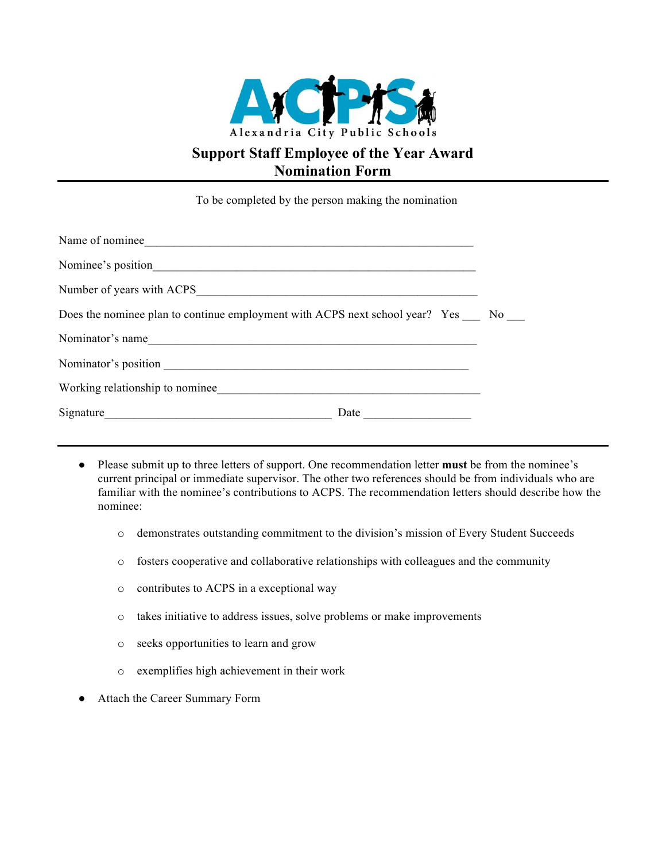

## **Support Staff Employee of the Year Award Nomination Form**

To be completed by the person making the nomination

| Nominee's position                                                              |  |
|---------------------------------------------------------------------------------|--|
|                                                                                 |  |
| Does the nominee plan to continue employment with ACPS next school year? Yes No |  |
| Nominator's name                                                                |  |
|                                                                                 |  |
|                                                                                 |  |
| Date                                                                            |  |

- Please submit up to three letters of support. One recommendation letter **must** be from the nominee's current principal or immediate supervisor. The other two references should be from individuals who are familiar with the nominee's contributions to ACPS. The recommendation letters should describe how the nominee:
	- o demonstrates outstanding commitment to the division's mission of Every Student Succeeds
	- o fosters cooperative and collaborative relationships with colleagues and the community
	- o contributes to ACPS in a exceptional way
	- o takes initiative to address issues, solve problems or make improvements
	- o seeks opportunities to learn and grow
	- o exemplifies high achievement in their work
- Attach the Career Summary Form